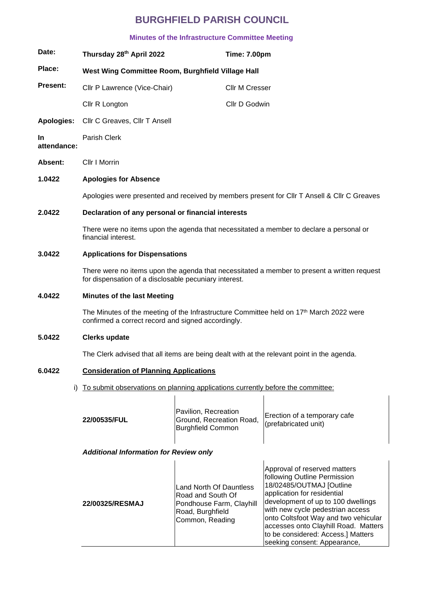# **BURGHFIELD PARISH COUNCIL**

### **Minutes of the Infrastructure Committee Meeting**

| Cllr P Lawrence (Vice-Chair)<br>Cllr R Longton<br>Cllr C Greaves, Cllr T Ansell<br>Parish Clerk | West Wing Committee Room, Burghfield Village Hall<br><b>Cllr M Cresser</b><br>Cllr D Godwin                            |                                                                                                                                                                                                                                                                                                                                                                   |
|-------------------------------------------------------------------------------------------------|------------------------------------------------------------------------------------------------------------------------|-------------------------------------------------------------------------------------------------------------------------------------------------------------------------------------------------------------------------------------------------------------------------------------------------------------------------------------------------------------------|
|                                                                                                 |                                                                                                                        |                                                                                                                                                                                                                                                                                                                                                                   |
|                                                                                                 |                                                                                                                        |                                                                                                                                                                                                                                                                                                                                                                   |
|                                                                                                 |                                                                                                                        |                                                                                                                                                                                                                                                                                                                                                                   |
|                                                                                                 |                                                                                                                        |                                                                                                                                                                                                                                                                                                                                                                   |
|                                                                                                 |                                                                                                                        |                                                                                                                                                                                                                                                                                                                                                                   |
| Cllr I Morrin                                                                                   |                                                                                                                        |                                                                                                                                                                                                                                                                                                                                                                   |
| <b>Apologies for Absence</b>                                                                    |                                                                                                                        |                                                                                                                                                                                                                                                                                                                                                                   |
|                                                                                                 |                                                                                                                        | Apologies were presented and received by members present for CIIr T Ansell & CIIr C Greaves                                                                                                                                                                                                                                                                       |
|                                                                                                 | Declaration of any personal or financial interests                                                                     |                                                                                                                                                                                                                                                                                                                                                                   |
| financial interest.                                                                             |                                                                                                                        | There were no items upon the agenda that necessitated a member to declare a personal or                                                                                                                                                                                                                                                                           |
| <b>Applications for Dispensations</b>                                                           |                                                                                                                        |                                                                                                                                                                                                                                                                                                                                                                   |
|                                                                                                 |                                                                                                                        | There were no items upon the agenda that necessitated a member to present a written request                                                                                                                                                                                                                                                                       |
| <b>Minutes of the last Meeting</b>                                                              |                                                                                                                        |                                                                                                                                                                                                                                                                                                                                                                   |
|                                                                                                 |                                                                                                                        |                                                                                                                                                                                                                                                                                                                                                                   |
| <b>Clerks update</b>                                                                            |                                                                                                                        |                                                                                                                                                                                                                                                                                                                                                                   |
|                                                                                                 |                                                                                                                        |                                                                                                                                                                                                                                                                                                                                                                   |
|                                                                                                 |                                                                                                                        |                                                                                                                                                                                                                                                                                                                                                                   |
| To submit observations on planning applications currently before the committee:<br>i)           |                                                                                                                        |                                                                                                                                                                                                                                                                                                                                                                   |
| 22/00535/FUL                                                                                    | Pavilion, Recreation<br>Ground, Recreation Road,<br><b>Burghfield Common</b>                                           | Erection of a temporary cafe<br>(prefabricated unit)                                                                                                                                                                                                                                                                                                              |
| <b>Additional Information for Review only</b>                                                   |                                                                                                                        |                                                                                                                                                                                                                                                                                                                                                                   |
| 22/00325/RESMAJ                                                                                 | <b>Land North Of Dauntless</b><br>Road and South Of<br>Pondhouse Farm, Clayhill<br>Road, Burghfield<br>Common, Reading | Approval of reserved matters<br>following Outline Permission<br>18/02485/OUTMAJ [Outline<br>application for residential<br>development of up to 100 dwellings<br>with new cycle pedestrian access<br>onto Coltsfoot Way and two vehicular<br>accesses onto Clayhill Road. Matters                                                                                 |
|                                                                                                 |                                                                                                                        | for dispensation of a disclosable pecuniary interest.<br>The Minutes of the meeting of the Infrastructure Committee held on 17 <sup>th</sup> March 2022 were<br>confirmed a correct record and signed accordingly.<br>The Clerk advised that all items are being dealt with at the relevant point in the agenda.<br><b>Consideration of Planning Applications</b> |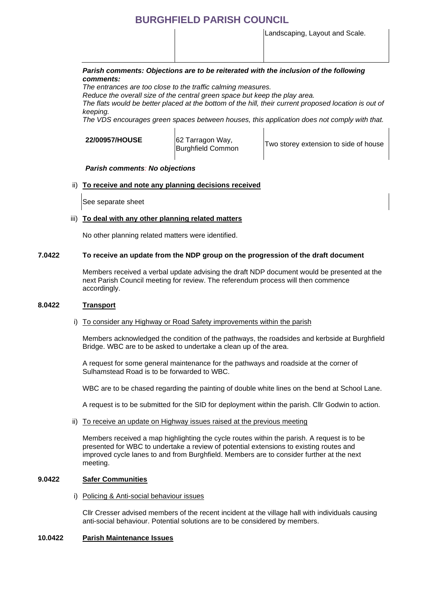## **BURGHFIELD PARISH COUNCIL**

Landscaping, Layout and Scale.

#### *Parish comments: Objections are to be reiterated with the inclusion of the following comments:*

*The entrances are too close to the traffic calming measures.* 

*Reduce the overall size of the central green space but keep the play area.* 

*The flats would be better placed at the bottom of the hill, their current proposed location is out of keeping.* 

*The VDS encourages green spaces between houses, this application does not comply with that.* 

#### **22/00957/HOUSE** 62 Tarragon Way,

oz Tarragon way,<br>Burghfield Common Two storey extension to side of house

#### *Parish comments: No objections*

#### ii) **To receive and note any planning decisions received**

See separate sheet

#### iii) **To deal with any other planning related matters**

No other planning related matters were identified.

#### **7.0422 To receive an update from the NDP group on the progression of the draft document**

Members received a verbal update advising the draft NDP document would be presented at the next Parish Council meeting for review. The referendum process will then commence accordingly.

#### **8.0422 Transport**

#### i) To consider any Highway or Road Safety improvements within the parish

Members acknowledged the condition of the pathways, the roadsides and kerbside at Burghfield Bridge. WBC are to be asked to undertake a clean up of the area.

A request for some general maintenance for the pathways and roadside at the corner of Sulhamstead Road is to be forwarded to WBC.

WBC are to be chased regarding the painting of double white lines on the bend at School Lane.

A request is to be submitted for the SID for deployment within the parish. Cllr Godwin to action.

ii) To receive an update on Highway issues raised at the previous meeting

Members received a map highlighting the cycle routes within the parish. A request is to be presented for WBC to undertake a review of potential extensions to existing routes and improved cycle lanes to and from Burghfield. Members are to consider further at the next meeting.

#### **9.0422 Safer Communities**

i) Policing & Anti-social behaviour issues

Cllr Cresser advised members of the recent incident at the village hall with individuals causing anti-social behaviour. Potential solutions are to be considered by members.

#### **10.0422 Parish Maintenance Issues**